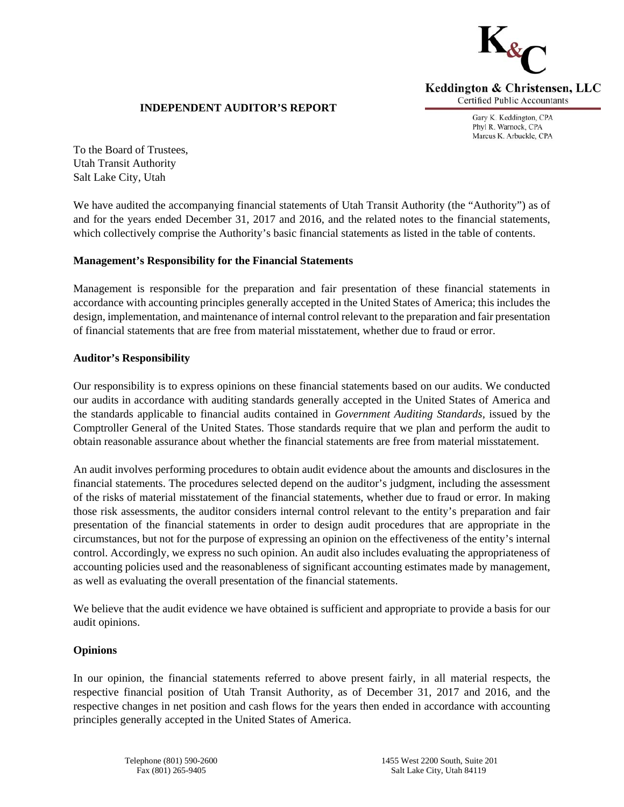

# **INDEPENDENT AUDITOR'S REPORT**

Gary K. Keddington, CPA Phyl R. Warnock, CPA Marcus K. Arbuckle, CPA

To the Board of Trustees, Utah Transit Authority Salt Lake City, Utah

We have audited the accompanying financial statements of Utah Transit Authority (the "Authority") as of and for the years ended December 31, 2017 and 2016, and the related notes to the financial statements, which collectively comprise the Authority's basic financial statements as listed in the table of contents.

## **Management's Responsibility for the Financial Statements**

Management is responsible for the preparation and fair presentation of these financial statements in accordance with accounting principles generally accepted in the United States of America; this includes the design, implementation, and maintenance of internal control relevant to the preparation and fair presentation of financial statements that are free from material misstatement, whether due to fraud or error.

## **Auditor's Responsibility**

Our responsibility is to express opinions on these financial statements based on our audits. We conducted our audits in accordance with auditing standards generally accepted in the United States of America and the standards applicable to financial audits contained in *Government Auditing Standards,* issued by the Comptroller General of the United States. Those standards require that we plan and perform the audit to obtain reasonable assurance about whether the financial statements are free from material misstatement.

An audit involves performing procedures to obtain audit evidence about the amounts and disclosures in the financial statements. The procedures selected depend on the auditor's judgment, including the assessment of the risks of material misstatement of the financial statements, whether due to fraud or error. In making those risk assessments, the auditor considers internal control relevant to the entity's preparation and fair presentation of the financial statements in order to design audit procedures that are appropriate in the circumstances, but not for the purpose of expressing an opinion on the effectiveness of the entity's internal control. Accordingly, we express no such opinion. An audit also includes evaluating the appropriateness of accounting policies used and the reasonableness of significant accounting estimates made by management, as well as evaluating the overall presentation of the financial statements.

We believe that the audit evidence we have obtained is sufficient and appropriate to provide a basis for our audit opinions.

# **Opinions**

In our opinion, the financial statements referred to above present fairly, in all material respects, the respective financial position of Utah Transit Authority, as of December 31, 2017 and 2016, and the respective changes in net position and cash flows for the years then ended in accordance with accounting principles generally accepted in the United States of America.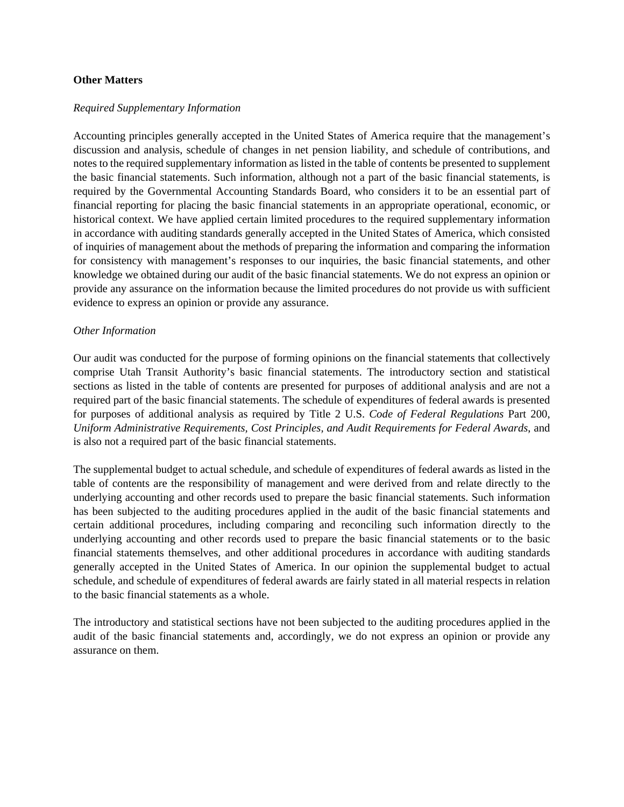#### **Other Matters**

#### *Required Supplementary Information*

Accounting principles generally accepted in the United States of America require that the management's discussion and analysis, schedule of changes in net pension liability, and schedule of contributions, and notes to the required supplementary information as listed in the table of contents be presented to supplement the basic financial statements. Such information, although not a part of the basic financial statements, is required by the Governmental Accounting Standards Board, who considers it to be an essential part of financial reporting for placing the basic financial statements in an appropriate operational, economic, or historical context. We have applied certain limited procedures to the required supplementary information in accordance with auditing standards generally accepted in the United States of America, which consisted of inquiries of management about the methods of preparing the information and comparing the information for consistency with management's responses to our inquiries, the basic financial statements, and other knowledge we obtained during our audit of the basic financial statements. We do not express an opinion or provide any assurance on the information because the limited procedures do not provide us with sufficient evidence to express an opinion or provide any assurance.

#### *Other Information*

Our audit was conducted for the purpose of forming opinions on the financial statements that collectively comprise Utah Transit Authority's basic financial statements. The introductory section and statistical sections as listed in the table of contents are presented for purposes of additional analysis and are not a required part of the basic financial statements. The schedule of expenditures of federal awards is presented for purposes of additional analysis as required by Title 2 U.S. *Code of Federal Regulations* Part 200, *Uniform Administrative Requirements, Cost Principles, and Audit Requirements for Federal Awards*, and is also not a required part of the basic financial statements.

The supplemental budget to actual schedule, and schedule of expenditures of federal awards as listed in the table of contents are the responsibility of management and were derived from and relate directly to the underlying accounting and other records used to prepare the basic financial statements. Such information has been subjected to the auditing procedures applied in the audit of the basic financial statements and certain additional procedures, including comparing and reconciling such information directly to the underlying accounting and other records used to prepare the basic financial statements or to the basic financial statements themselves, and other additional procedures in accordance with auditing standards generally accepted in the United States of America. In our opinion the supplemental budget to actual schedule, and schedule of expenditures of federal awards are fairly stated in all material respects in relation to the basic financial statements as a whole.

The introductory and statistical sections have not been subjected to the auditing procedures applied in the audit of the basic financial statements and, accordingly, we do not express an opinion or provide any assurance on them.